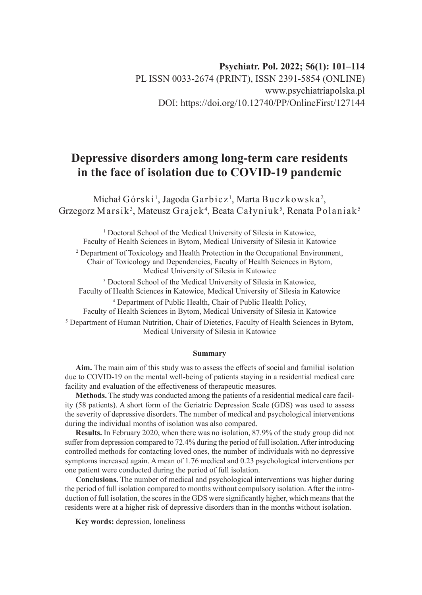# **Psychiatr. Pol. 2022; 56(1): 101–114** PL ISSN 0033-2674 (PRINT), ISSN 2391-5854 (ONLINE) www.psychiatriapolska.pl DOI: https://doi.org/10.12740/PP/OnlineFirst/127144

# **Depressive disorders among long-term care residents in the face of isolation due to COVID-19 pandemic**

Michał Górski $^1$ , Jagoda Garbicz $^1$ , Marta Buczkowska $^2$ , Grzegorz Marsik<sup>3</sup>, Mateusz Grajek<sup>4</sup>, Beata Całyniuk<sup>5</sup>, Renata Polaniak<sup>5</sup>

<sup>1</sup> Doctoral School of the Medical University of Silesia in Katowice, Faculty of Health Sciences in Bytom, Medical University of Silesia in Katowice

<sup>2</sup> Department of Toxicology and Health Protection in the Occupational Environment, Chair of Toxicology and Dependencies, Faculty of Health Sciences in Bytom, Medical University of Silesia in Katowice

3 Doctoral School of the Medical University of Silesia in Katowice, Faculty of Health Sciences in Katowice, Medical University of Silesia in Katowice

4 Department of Public Health, Chair of Public Health Policy,

Faculty of Health Sciences in Bytom, Medical University of Silesia in Katowice

<sup>5</sup> Department of Human Nutrition, Chair of Dietetics, Faculty of Health Sciences in Bytom, Medical University of Silesia in Katowice

#### **Summary**

**Aim.** The main aim of this study was to assess the effects of social and familial isolation due to COVID-19 on the mental well-being of patients staying in a residential medical care facility and evaluation of the effectiveness of therapeutic measures.

**Methods.** The study was conducted among the patients of a residential medical care facility (58 patients). A short form of the Geriatric Depression Scale (GDS) was used to assess the severity of depressive disorders. The number of medical and psychological interventions during the individual months of isolation was also compared.

**Results.** In February 2020, when there was no isolation, 87.9% of the study group did not suffer from depression compared to 72.4% during the period of full isolation. After introducing controlled methods for contacting loved ones, the number of individuals with no depressive symptoms increased again. A mean of 1.76 medical and 0.23 psychological interventions per one patient were conducted during the period of full isolation.

**Conclusions.** The number of medical and psychological interventions was higher during the period of full isolation compared to months without compulsory isolation. After the introduction of full isolation, the scores in the GDS were significantly higher, which means that the residents were at a higher risk of depressive disorders than in the months without isolation.

**Key words:** depression, loneliness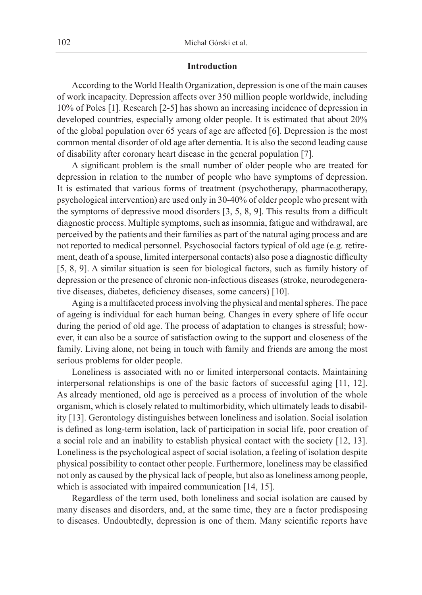#### **Introduction**

According to the World Health Organization, depression is one of the main causes of work incapacity. Depression affects over 350 million people worldwide, including 10% of Poles [1]. Research [2-5] has shown an increasing incidence of depression in developed countries, especially among older people. It is estimated that about 20% of the global population over 65 years of age are affected [6]. Depression is the most common mental disorder of old age after dementia. It is also the second leading cause of disability after coronary heart disease in the general population [7].

A significant problem is the small number of older people who are treated for depression in relation to the number of people who have symptoms of depression. It is estimated that various forms of treatment (psychotherapy, pharmacotherapy, psychological intervention) are used only in 30-40% of older people who present with the symptoms of depressive mood disorders [3, 5, 8, 9]. This results from a difficult diagnostic process. Multiple symptoms, such as insomnia, fatigue and withdrawal, are perceived by the patients and their families as part of the natural aging process and are not reported to medical personnel. Psychosocial factors typical of old age (e.g. retirement, death of a spouse, limited interpersonal contacts) also pose a diagnostic difficulty [5, 8, 9]. A similar situation is seen for biological factors, such as family history of depression or the presence of chronic non-infectious diseases (stroke, neurodegenerative diseases, diabetes, deficiency diseases, some cancers) [10].

Aging is a multifaceted process involving the physical and mental spheres. The pace of ageing is individual for each human being. Changes in every sphere of life occur during the period of old age. The process of adaptation to changes is stressful; however, it can also be a source of satisfaction owing to the support and closeness of the family. Living alone, not being in touch with family and friends are among the most serious problems for older people.

Loneliness is associated with no or limited interpersonal contacts. Maintaining interpersonal relationships is one of the basic factors of successful aging [11, 12]. As already mentioned, old age is perceived as a process of involution of the whole organism, which is closely related to multimorbidity, which ultimately leads to disability [13]. Gerontology distinguishes between loneliness and isolation. Social isolation is defined as long-term isolation, lack of participation in social life, poor creation of a social role and an inability to establish physical contact with the society [12, 13]. Loneliness is the psychological aspect of social isolation, a feeling of isolation despite physical possibility to contact other people. Furthermore, loneliness may be classified not only as caused by the physical lack of people, but also as loneliness among people, which is associated with impaired communication [14, 15].

Regardless of the term used, both loneliness and social isolation are caused by many diseases and disorders, and, at the same time, they are a factor predisposing to diseases. Undoubtedly, depression is one of them. Many scientific reports have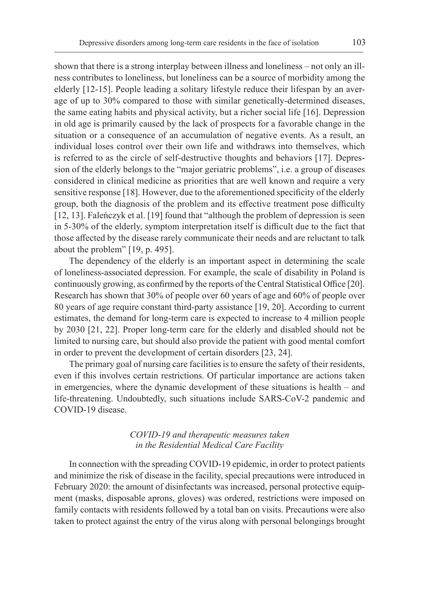shown that there is a strong interplay between illness and loneliness – not only an illness contributes to loneliness, but loneliness can be a source of morbidity among the elderly [12-15]. People leading a solitary lifestyle reduce their lifespan by an average of up to 30% compared to those with similar genetically-determined diseases, the same eating habits and physical activity, but a richer social life [16]. Depression in old age is primarily caused by the lack of prospects for a favorable change in the situation or a consequence of an accumulation of negative events. As a result, an individual loses control over their own life and withdraws into themselves, which is referred to as the circle of self-destructive thoughts and behaviors [17]. Depression of the elderly belongs to the "major geriatric problems", i.e. a group of diseases considered in clinical medicine as priorities that are well known and require a very sensitive response [18]. However, due to the aforementioned specificity of the elderly group, both the diagnosis of the problem and its effective treatment pose difficulty [12, 13]. Faleńczyk et al. [19] found that "although the problem of depression is seen in 5-30% of the elderly, symptom interpretation itself is difficult due to the fact that those affected by the disease rarely communicate their needs and are reluctant to talk about the problem" [19, p. 495].

The dependency of the elderly is an important aspect in determining the scale of loneliness-associated depression. For example, the scale of disability in Poland is continuously growing, as confirmed by the reports of the Central Statistical Office [20]. Research has shown that 30% of people over 60 years of age and 60% of people over 80 years of age require constant third-party assistance [19, 20]. According to current estimates, the demand for long-term care is expected to increase to 4 million people by 2030 [21, 22]. Proper long-term care for the elderly and disabled should not be limited to nursing care, but should also provide the patient with good mental comfort in order to prevent the development of certain disorders [23, 24].

The primary goal of nursing care facilities is to ensure the safety of their residents, even if this involves certain restrictions. Of particular importance are actions taken in emergencies, where the dynamic development of these situations is health – and life-threatening. Undoubtedly, such situations include SARS-CoV-2 pandemic and COVID-19 disease.

## *COVID-19 and therapeutic measures taken in the Residential Medical Care Facility*

In connection with the spreading COVID-19 epidemic, in order to protect patients and minimize the risk of disease in the facility, special precautions were introduced in February 2020: the amount of disinfectants was increased, personal protective equipment (masks, disposable aprons, gloves) was ordered, restrictions were imposed on family contacts with residents followed by a total ban on visits. Precautions were also taken to protect against the entry of the virus along with personal belongings brought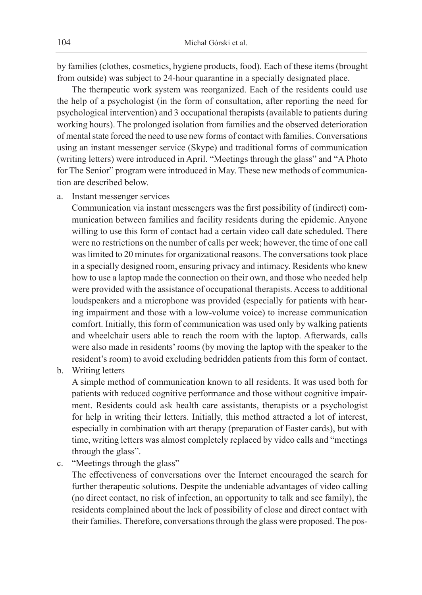by families (clothes, cosmetics, hygiene products, food). Each of these items (brought from outside) was subject to 24-hour quarantine in a specially designated place.

The therapeutic work system was reorganized. Each of the residents could use the help of a psychologist (in the form of consultation, after reporting the need for psychological intervention) and 3 occupational therapists (available to patients during working hours). The prolonged isolation from families and the observed deterioration of mental state forced the need to use new forms of contact with families. Conversations using an instant messenger service (Skype) and traditional forms of communication (writing letters) were introduced in April. "Meetings through the glass" and "A Photo for The Senior" program were introduced in May. These new methods of communication are described below.

a. Instant messenger services

Communication via instant messengers was the first possibility of (indirect) communication between families and facility residents during the epidemic. Anyone willing to use this form of contact had a certain video call date scheduled. There were no restrictions on the number of calls per week; however, the time of one call was limited to 20 minutes for organizational reasons. The conversations took place in a specially designed room, ensuring privacy and intimacy. Residents who knew how to use a laptop made the connection on their own, and those who needed help were provided with the assistance of occupational therapists. Access to additional loudspeakers and a microphone was provided (especially for patients with hearing impairment and those with a low-volume voice) to increase communication comfort. Initially, this form of communication was used only by walking patients and wheelchair users able to reach the room with the laptop. Afterwards, calls were also made in residents' rooms (by moving the laptop with the speaker to the resident's room) to avoid excluding bedridden patients from this form of contact.

b. Writing letters

A simple method of communication known to all residents. It was used both for patients with reduced cognitive performance and those without cognitive impairment. Residents could ask health care assistants, therapists or a psychologist for help in writing their letters. Initially, this method attracted a lot of interest, especially in combination with art therapy (preparation of Easter cards), but with time, writing letters was almost completely replaced by video calls and "meetings through the glass".

c. "Meetings through the glass"

The effectiveness of conversations over the Internet encouraged the search for further therapeutic solutions. Despite the undeniable advantages of video calling (no direct contact, no risk of infection, an opportunity to talk and see family), the residents complained about the lack of possibility of close and direct contact with their families. Therefore, conversations through the glass were proposed. The pos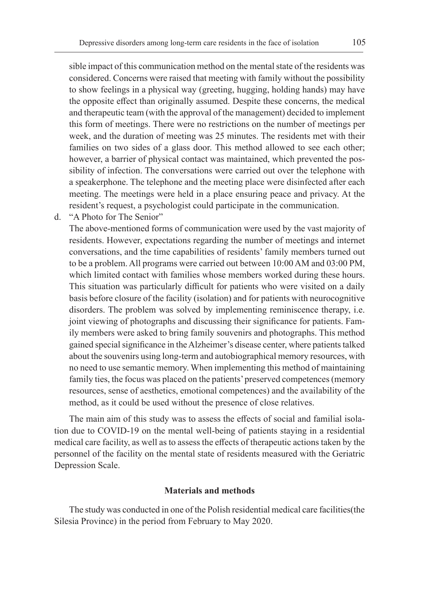sible impact of this communication method on the mental state of the residents was considered. Concerns were raised that meeting with family without the possibility to show feelings in a physical way (greeting, hugging, holding hands) may have the opposite effect than originally assumed. Despite these concerns, the medical and therapeutic team (with the approval of the management) decided to implement this form of meetings. There were no restrictions on the number of meetings per week, and the duration of meeting was 25 minutes. The residents met with their families on two sides of a glass door. This method allowed to see each other; however, a barrier of physical contact was maintained, which prevented the possibility of infection. The conversations were carried out over the telephone with a speakerphone. The telephone and the meeting place were disinfected after each meeting. The meetings were held in a place ensuring peace and privacy. At the resident's request, a psychologist could participate in the communication.

d. "A Photo for The Senior"

The above-mentioned forms of communication were used by the vast majority of residents. However, expectations regarding the number of meetings and internet conversations, and the time capabilities of residents' family members turned out to be a problem. All programs were carried out between 10:00 AM and 03:00 PM, which limited contact with families whose members worked during these hours. This situation was particularly difficult for patients who were visited on a daily basis before closure of the facility (isolation) and for patients with neurocognitive disorders. The problem was solved by implementing reminiscence therapy, i.e. joint viewing of photographs and discussing their significance for patients. Family members were asked to bring family souvenirs and photographs. This method gained special significance in the Alzheimer's disease center, where patients talked about the souvenirs using long-term and autobiographical memory resources, with no need to use semantic memory. When implementing this method of maintaining family ties, the focus was placed on the patients' preserved competences (memory resources, sense of aesthetics, emotional competences) and the availability of the method, as it could be used without the presence of close relatives.

The main aim of this study was to assess the effects of social and familial isolation due to COVID-19 on the mental well-being of patients staying in a residential medical care facility, as well as to assess the effects of therapeutic actions taken by the personnel of the facility on the mental state of residents measured with the Geriatric Depression Scale.

#### **Materials and methods**

The study was conducted in one of the Polish residential medical care facilities(the Silesia Province) in the period from February to May 2020.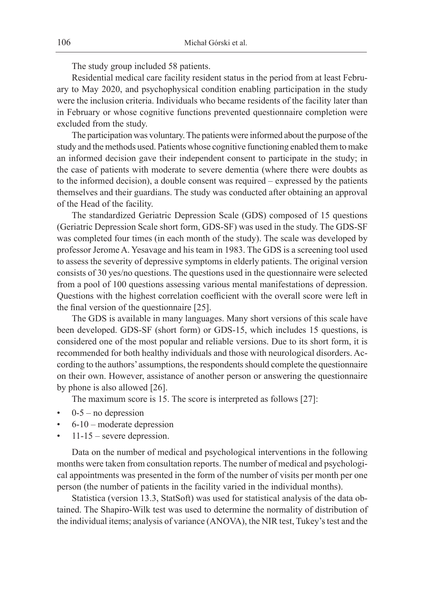The study group included 58 patients.

Residential medical care facility resident status in the period from at least February to May 2020, and psychophysical condition enabling participation in the study were the inclusion criteria. Individuals who became residents of the facility later than in February or whose cognitive functions prevented questionnaire completion were excluded from the study.

The participation was voluntary. The patients were informed about the purpose of the study and the methods used. Patients whose cognitive functioning enabled them to make an informed decision gave their independent consent to participate in the study; in the case of patients with moderate to severe dementia (where there were doubts as to the informed decision), a double consent was required – expressed by the patients themselves and their guardians. The study was conducted after obtaining an approval of the Head of the facility.

The standardized Geriatric Depression Scale (GDS) composed of 15 questions (Geriatric Depression Scale short form, GDS-SF) was used in the study. The GDS-SF was completed four times (in each month of the study). The scale was developed by professor Jerome A. Yesavage and his team in 1983. The GDS is a screening tool used to assess the severity of depressive symptoms in elderly patients. The original version consists of 30 yes/no questions. The questions used in the questionnaire were selected from a pool of 100 questions assessing various mental manifestations of depression. Questions with the highest correlation coefficient with the overall score were left in the final version of the questionnaire [25].

The GDS is available in many languages. Many short versions of this scale have been developed. GDS-SF (short form) or GDS-15, which includes 15 questions, is considered one of the most popular and reliable versions. Due to its short form, it is recommended for both healthy individuals and those with neurological disorders. According to the authors' assumptions, the respondents should complete the questionnaire on their own. However, assistance of another person or answering the questionnaire by phone is also allowed [26].

The maximum score is 15. The score is interpreted as follows [27]:

- $0-5$  no depression
- $6-10$  moderate depression
- $11-15$  severe depression.

Data on the number of medical and psychological interventions in the following months were taken from consultation reports. The number of medical and psychological appointments was presented in the form of the number of visits per month per one person (the number of patients in the facility varied in the individual months).

Statistica (version 13.3, StatSoft) was used for statistical analysis of the data obtained. The Shapiro-Wilk test was used to determine the normality of distribution of the individual items; analysis of variance (ANOVA), the NIR test, Tukey's test and the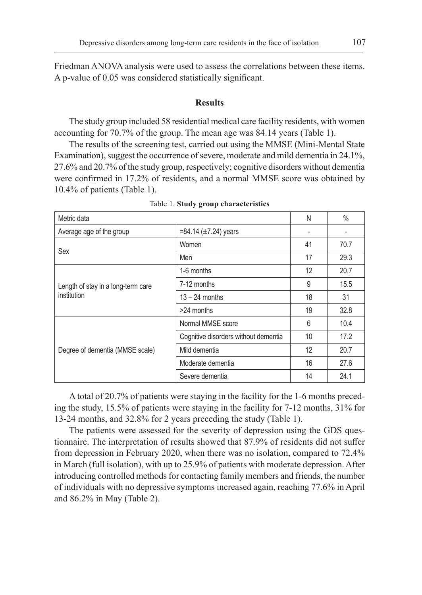Friedman ANOVA analysis were used to assess the correlations between these items. A p-value of 0.05 was considered statistically significant.

### **Results**

The study group included 58 residential medical care facility residents, with women accounting for 70.7% of the group. The mean age was 84.14 years (Table 1).

The results of the screening test, carried out using the MMSE (Mini-Mental State Examination), suggest the occurrence of severe, moderate and mild dementia in 24.1%, 27.6% and 20.7% of the study group, respectively; cognitive disorders without dementia were confirmed in 17.2% of residents, and a normal MMSE score was obtained by 10.4% of patients (Table 1).

| Metric data                                       |                                      | N  | $\%$ |
|---------------------------------------------------|--------------------------------------|----|------|
| Average age of the group                          | $= 84.14 \ (\pm 7.24)$ years         |    |      |
| Sex                                               | Women                                | 41 | 70.7 |
|                                                   | Men                                  | 17 | 29.3 |
| Length of stay in a long-term care<br>institution | 1-6 months                           | 12 | 20.7 |
|                                                   | 7-12 months                          | 9  | 15.5 |
|                                                   | $13 - 24$ months                     | 18 | 31   |
|                                                   | >24 months                           | 19 | 32.8 |
| Degree of dementia (MMSE scale)                   | Normal MMSE score                    | 6  | 10.4 |
|                                                   | Cognitive disorders without dementia | 10 | 17.2 |
|                                                   | Mild dementia                        | 12 | 20.7 |
|                                                   | Moderate dementia                    | 16 | 27.6 |
|                                                   | Severe dementia                      | 14 | 24.1 |

Table 1. **Study group characteristics**

A total of 20.7% of patients were staying in the facility for the 1-6 months preceding the study, 15.5% of patients were staying in the facility for 7-12 months, 31% for 13-24 months, and 32.8% for 2 years preceding the study (Table 1).

The patients were assessed for the severity of depression using the GDS questionnaire. The interpretation of results showed that 87.9% of residents did not suffer from depression in February 2020, when there was no isolation, compared to 72.4% in March (full isolation), with up to 25.9% of patients with moderate depression. After introducing controlled methods for contacting family members and friends, the number of individuals with no depressive symptoms increased again, reaching 77.6% in April and 86.2% in May (Table 2).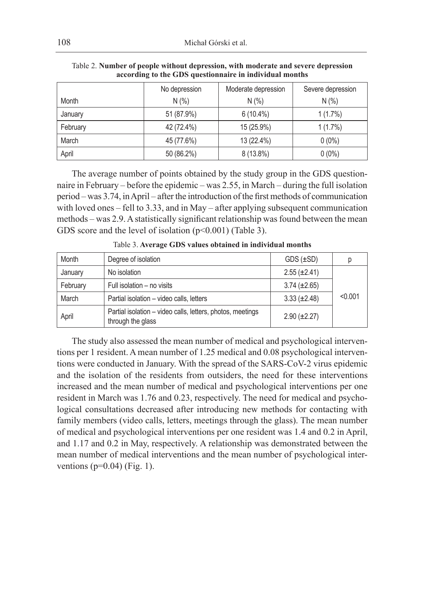|          | No depression | Moderate depression | Severe depression |
|----------|---------------|---------------------|-------------------|
| Month    | N(% )         | N(% )               | N(% )             |
| January  | 51 (87.9%)    | $6(10.4\%)$         | $1(1.7\%)$        |
| February | 42 (72.4%)    | 15 (25.9%)          | $1(1.7\%)$        |
| March    | 45 (77.6%)    | 13 (22.4%)          | $0(0\%)$          |
| April    | 50 (86.2%)    | $8(13.8\%)$         | $0(0\%)$          |

Table 2. **Number of people without depression, with moderate and severe depression according to the GDS questionnaire in individual months**

The average number of points obtained by the study group in the GDS questionnaire in February – before the epidemic – was 2.55, in March – during the full isolation period – was 3.74, in April – after the introduction of the first methods of communication with loved ones – fell to 3.33, and in May – after applying subsequent communication methods – was 2.9. A statistically significant relationship was found between the mean GDS score and the level of isolation (p<0.001) (Table 3).

| Month    | Degree of isolation                                                             | $GDS (\pm SD)$      | D       |
|----------|---------------------------------------------------------------------------------|---------------------|---------|
| January  | No isolation                                                                    | $2.55 \ (\pm 2.41)$ |         |
| February | Full isolation - no visits                                                      | $3.74 \ (\pm 2.65)$ |         |
| March    | Partial isolation - video calls, letters                                        | $3.33 \ (\pm 2.48)$ | < 0.001 |
| April    | Partial isolation - video calls, letters, photos, meetings<br>through the glass | $2.90 (\pm 2.27)$   |         |

Table 3. **Average GDS values obtained in individual months**

The study also assessed the mean number of medical and psychological interventions per 1 resident. A mean number of 1.25 medical and 0.08 psychological interventions were conducted in January. With the spread of the SARS-CoV-2 virus epidemic and the isolation of the residents from outsiders, the need for these interventions increased and the mean number of medical and psychological interventions per one resident in March was 1.76 and 0.23, respectively. The need for medical and psychological consultations decreased after introducing new methods for contacting with family members (video calls, letters, meetings through the glass). The mean number of medical and psychological interventions per one resident was 1.4 and 0.2 in April, and 1.17 and 0.2 in May, respectively. A relationship was demonstrated between the mean number of medical interventions and the mean number of psychological interventions ( $p=0.04$ ) (Fig. 1).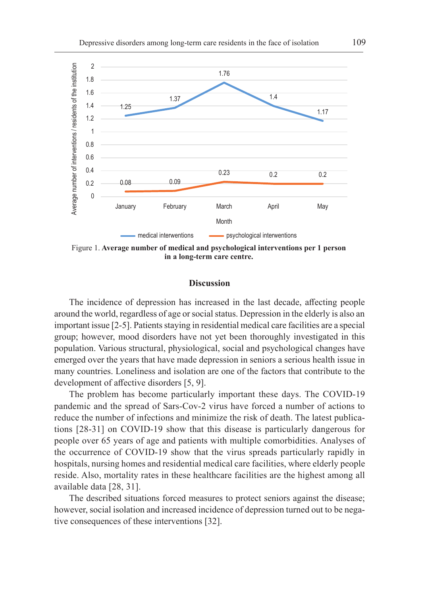

Figure 1. **Average number of medical and psychological interventions per 1 person in a long-term care centre.**

#### **Discussion**

The incidence of depression has increased in the last decade, affecting people around the world, regardless of age or social status. Depression in the elderly is also an important issue [2-5]. Patients staying in residential medical care facilities are a special group; however, mood disorders have not yet been thoroughly investigated in this population. Various structural, physiological, social and psychological changes have emerged over the years that have made depression in seniors a serious health issue in many countries. Loneliness and isolation are one of the factors that contribute to the development of affective disorders [5, 9].

The problem has become particularly important these days. The COVID-19 pandemic and the spread of Sars-Cov-2 virus have forced a number of actions to reduce the number of infections and minimize the risk of death. The latest publications [28-31] on COVID-19 show that this disease is particularly dangerous for people over 65 years of age and patients with multiple comorbidities. Analyses of the occurrence of COVID-19 show that the virus spreads particularly rapidly in hospitals, nursing homes and residential medical care facilities, where elderly people reside. Also, mortality rates in these healthcare facilities are the highest among all available data [28, 31].

The described situations forced measures to protect seniors against the disease; however, social isolation and increased incidence of depression turned out to be negative consequences of these interventions [32].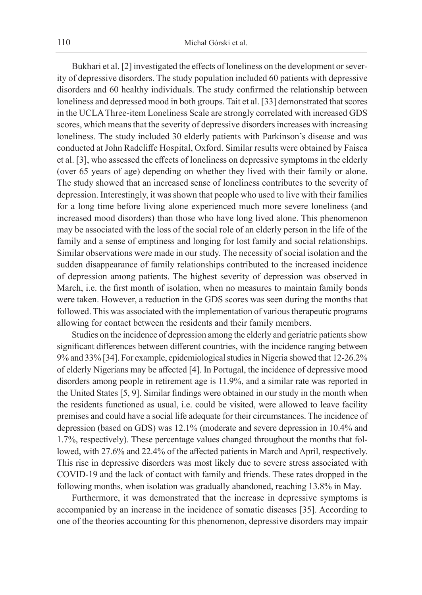Bukhari et al. [2] investigated the effects of loneliness on the development or severity of depressive disorders. The study population included 60 patients with depressive disorders and 60 healthy individuals. The study confirmed the relationship between loneliness and depressed mood in both groups. Tait et al. [33] demonstrated that scores in the UCLA Three-item Loneliness Scale are strongly correlated with increased GDS scores, which means that the severity of depressive disorders increases with increasing loneliness. The study included 30 elderly patients with Parkinson's disease and was conducted at John Radcliffe Hospital, Oxford. Similar results were obtained by Faisca et al. [3], who assessed the effects of loneliness on depressive symptoms in the elderly (over 65 years of age) depending on whether they lived with their family or alone. The study showed that an increased sense of loneliness contributes to the severity of depression. Interestingly, it was shown that people who used to live with their families for a long time before living alone experienced much more severe loneliness (and increased mood disorders) than those who have long lived alone. This phenomenon may be associated with the loss of the social role of an elderly person in the life of the family and a sense of emptiness and longing for lost family and social relationships. Similar observations were made in our study. The necessity of social isolation and the sudden disappearance of family relationships contributed to the increased incidence of depression among patients. The highest severity of depression was observed in March, i.e. the first month of isolation, when no measures to maintain family bonds were taken. However, a reduction in the GDS scores was seen during the months that followed. This was associated with the implementation of various therapeutic programs allowing for contact between the residents and their family members.

Studies on the incidence of depression among the elderly and geriatric patients show significant differences between different countries, with the incidence ranging between 9% and 33% [34]. For example, epidemiological studies in Nigeria showed that 12-26.2% of elderly Nigerians may be affected [4]. In Portugal, the incidence of depressive mood disorders among people in retirement age is 11.9%, and a similar rate was reported in the United States [5, 9]. Similar findings were obtained in our study in the month when the residents functioned as usual, i.e. could be visited, were allowed to leave facility premises and could have a social life adequate for their circumstances. The incidence of depression (based on GDS) was 12.1% (moderate and severe depression in 10.4% and 1.7%, respectively). These percentage values changed throughout the months that followed, with 27.6% and 22.4% of the affected patients in March and April, respectively. This rise in depressive disorders was most likely due to severe stress associated with COVID-19 and the lack of contact with family and friends. These rates dropped in the following months, when isolation was gradually abandoned, reaching 13.8% in May.

Furthermore, it was demonstrated that the increase in depressive symptoms is accompanied by an increase in the incidence of somatic diseases [35]. According to one of the theories accounting for this phenomenon, depressive disorders may impair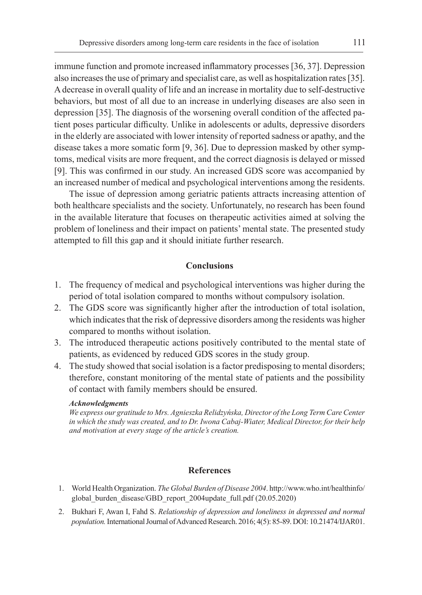immune function and promote increased inflammatory processes [36, 37]. Depression also increases the use of primary and specialist care, as well as hospitalization rates [35]. Adecrease in overall quality of life and an increase in mortality due to self-destructive behaviors, but most of all due to an increase in underlying diseases are also seen in depression [35]. The diagnosis of the worsening overall condition of the affected patient poses particular difficulty. Unlike in adolescents or adults, depressive disorders in the elderly are associated with lower intensity of reported sadness or apathy, and the disease takes a more somatic form [9, 36]. Due to depression masked by other symptoms, medical visits are more frequent, and the correct diagnosis is delayed or missed [9]. This was confirmed in our study. An increased GDS score was accompanied by an increased number of medical and psychological interventions among the residents.

The issue of depression among geriatric patients attracts increasing attention of both healthcare specialists and the society. Unfortunately, no research has been found in the available literature that focuses on therapeutic activities aimed at solving the problem of loneliness and their impact on patients' mental state. The presented study attempted to fill this gap and it should initiate further research.

#### **Conclusions**

- 1. The frequency of medical and psychological interventions was higher during the period of total isolation compared to months without compulsory isolation.
- 2. The GDS score was significantly higher after the introduction of total isolation, which indicates that the risk of depressive disorders among the residents was higher compared to months without isolation.
- 3. The introduced therapeutic actions positively contributed to the mental state of patients, as evidenced by reduced GDS scores in the study group.
- 4. The study showed that social isolation is a factor predisposing to mental disorders; therefore, constant monitoring of the mental state of patients and the possibility of contact with family members should be ensured.

#### *Acknowledgments*

*We express our gratitude to Mrs. Agnieszka Relidzyńska, Director of the Long Term Care Center in which the study was created, and to Dr. Iwona Cabaj-Wiater, Medical Director, for their help and motivation at every stage of the article's creation.*

#### **References**

- 1. World Health Organization. *The Global Burden of Disease 2004*. http://www.who.int/healthinfo/ global burden disease/GBD report 2004update full.pdf (20.05.2020)
- 2. Bukhari F, Awan I, Fahd S. *Relationship of depression and loneliness in depressed and normal population.* International Journal of Advanced Research. 2016; 4(5): 85-89. DOI: 10.21474/IJAR01.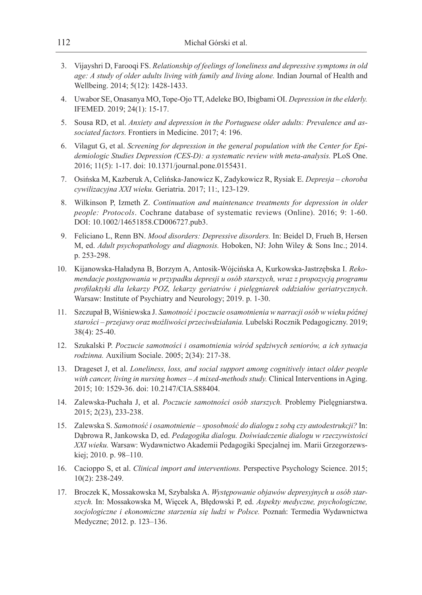- 3. Vijayshri D, Farooqi FS. *Relationship of feelings of loneliness and depressive symptoms in old age: A study of older adults living with family and living alone.* Indian Journal of Health and Wellbeing. 2014; 5(12): 1428-1433.
- 4. Uwabor SE, Onasanya MO, Tope-Ojo TT, Adeleke BO, Ibigbami OI. *Depression in the elderly.*  IFEMED. 2019; 24(1): 15-17.
- 5. Sousa RD, et al. *Anxiety and depression in the Portuguese older adults: Prevalence and associated factors.* Frontiers in Medicine. 2017; 4: 196.
- 6. Vilagut G, et al. *Screening for depression in the general population with the Center for Epidemiologic Studies Depression (CES-D): a systematic review with meta-analysis.* PLoS One. 2016; 11(5): 1-17. doi: 10.1371/journal.pone.0155431.
- 7. Osińska M, Kazberuk A, Celińska-Janowicz K, Zadykowicz R, Rysiak E. *Depresja choroba cywilizacyjna XXI wieku.* Geriatria. 2017; 11:, 123-129.
- 8. Wilkinson P, Izmeth Z. *Continuation and maintenance treatments for depression in older people: Protocols*. Cochrane database of systematic reviews (Online). 2016; 9: 1-60. DOI: 10.1002/14651858.CD006727.pub3.
- 9. Feliciano L, Renn BN. *Mood disorders: Depressive disorders.* In: Beidel D, Frueh B, Hersen M, ed. *Adult psychopathology and diagnosis.* Hoboken, NJ: John Wiley & Sons Inc.; 2014. p. 253-298.
- 10. Kijanowska-Haładyna B, Borzym A, Antosik-Wójcińska A, Kurkowska-Jastrzębska I. *Rekomendacje postępowania w przypadku depresji u osób starszych, wraz z propozycją programu profilaktyki dla lekarzy POZ, lekarzy geriatrów i pielęgniarek oddziałów geriatrycznych*. Warsaw: Institute of Psychiatry and Neurology; 2019. p. 1-30.
- 11. Szczupał B, Wiśniewska J. *Samotność i poczucie osamotnienia w narracji osób w wieku późnej starości – przejawy oraz możliwości przeciwdziałania.* Lubelski Rocznik Pedagogiczny. 2019; 38(4): 25-40.
- 12. Szukalski P. *Poczucie samotności i osamotnienia wśród sędziwych seniorów, a ich sytuacja rodzinna.* Auxilium Sociale. 2005; 2(34): 217-38.
- 13. Drageset J, et al. *Loneliness, loss, and social support among cognitively intact older people with cancer, living in nursing homes – A mixed-methods study.* Clinical Interventions in Aging. 2015; 10: 1529-36. doi: 10.2147/CIA.S88404.
- 14. Zalewska-Puchała J, et al. *Poczucie samotności osób starszych.* Problemy Pielęgniarstwa. 2015; 2(23), 233-238.
- 15. Zalewska S. *Samotność i osamotnienie sposobność do dialogu z sobą czy autodestrukcji?* In: Dąbrowa R, Jankowska D, ed. *Pedagogika dialogu. Doświadczenie dialogu w rzeczywistości XXI wieku.* Warsaw: Wydawnictwo Akademii Pedagogiki Specjalnej im. Marii Grzegorzewskiej; 2010. p. 98–110.
- 16. Cacioppo S, et al. *Clinical import and interventions.* Perspective Psychology Science. 2015; 10(2): 238-249.
- 17. Broczek K, Mossakowska M, Szybalska A. *Występowanie objawów depresyjnych u osób starszych.* In: Mossakowska M, Więcek A, Błędowski P, ed. *Aspekty medyczne, psychologiczne, socjologiczne i ekonomiczne starzenia się ludzi w Polsce.* Poznań: Termedia Wydawnictwa Medyczne; 2012. p. 123–136.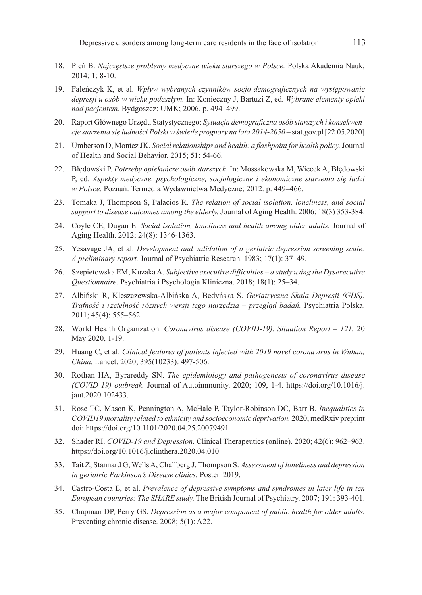- 18. Pień B. *Najczęstsze problemy medyczne wieku starszego w Polsce.* Polska Akademia Nauk; 2014; 1: 8-10.
- 19. Faleńczyk K, et al. *Wpływ wybranych czynników socjo-demograficznych na występowanie depresji u osób w wieku podeszłym.* In: Konieczny J, Bartuzi Z, ed. *Wybrane elementy opieki nad pacjentem.* Bydgoszcz: UMK; 2006. p. 494–499.
- 20. Raport Głównego Urzędu Statystycznego: *Sytuacja demograficzna osób starszych i konsekwencje starzenia się ludności Polski w świetle prognozy na lata 2014-2050* – stat.gov.pl [22.05.2020]
- 21. Umberson D, Montez JK. *Social relationships and health: a flashpoint for health policy.*Journal of Health and Social Behavior. 2015; 51: 54-66.
- 22. Błędowski P. *Potrzeby opiekuńcze osób starszych.* In: Mossakowska M, Więcek A, Błędowski P, ed. *Aspekty medyczne, psychologiczne, socjologiczne i ekonomiczne starzenia się ludzi w Polsce.* Poznań: Termedia Wydawnictwa Medyczne; 2012. p. 449–466.
- 23. Tomaka J, Thompson S, Palacios R. *The relation of social isolation, loneliness, and social support to disease outcomes among the elderly.* Journal of Aging Health. 2006; 18(3) 353-384.
- 24. Coyle CE, Dugan E. *Social isolation, loneliness and health among older adults.* Journal of Aging Health. 2012; 24(8): 1346-1363.
- 25. Yesavage JA, et al. *Development and validation of a geriatric depression screening scale: A preliminary report.* Journal of Psychiatric Research. 1983; 17(1): 37–49.
- 26. Szepietowska EM, Kuzaka A. *Subjective executive difficulties a study using the Dysexecutive Questionnaire.* Psychiatria i Psychologia Kliniczna. 2018; 18(1): 25–34.
- 27. Albiński R, Kleszczewska-Albińska A, Bedyńska S. *Geriatryczna Skala Depresji (GDS). Trafność i rzetelność różnych wersji tego narzędzia – przegląd badań.* Psychiatria Polska. 2011; 45(4): 555–562.
- 28. World Health Organization. *Coronavirus disease (COVID-19). Situation Report 121.* 20 May 2020, 1-19.
- 29. Huang C, et al. *Clinical features of patients infected with 2019 novel coronavirus in Wuhan, China.* Lancet. 2020; 395(10233): 497-506.
- 30. Rothan HA, Byrareddy SN. *The epidemiology and pathogenesis of coronavirus disease (COVID-19) outbreak.* Journal of Autoimmunity. 2020; 109, 1-4. https://doi.org/10.1016/j. jaut.2020.102433.
- 31. Rose TC, Mason K, Pennington A, McHale P, Taylor-Robinson DC, Barr B. *Inequalities in COVID19 mortality related to ethnicity and socioeconomic deprivation.* 2020; medRxiv preprint doi: https://doi.org/10.1101/2020.04.25.20079491
- 32. Shader RI. *COVID-19 and Depression.* Clinical Therapeutics (online). 2020; 42(6): 962–963. https://doi.org/10.1016/j.clinthera.2020.04.010
- 33. Tait Z, Stannard G, Wells A, Challberg J, Thompson S. *Assessment of loneliness and depression in geriatric Parkinson's Disease clinics.* Poster. 2019.
- 34. Castro-Costa E, et al. *Prevalence of depressive symptoms and syndromes in later life in ten European countries: The SHARE study.* The British Journal of Psychiatry. 2007; 191: 393-401.
- 35. Chapman DP, Perry GS. *Depression as a major component of public health for older adults.* Preventing chronic disease. 2008; 5(1): A22.